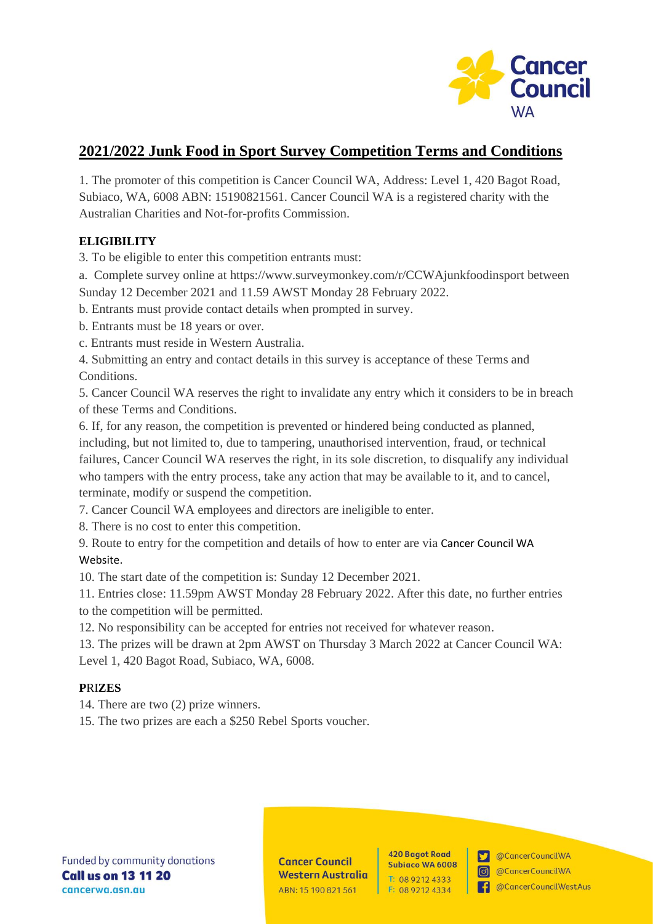

# **2021/2022 Junk Food in Sport Survey Competition Terms and Conditions**

1. The promoter of this competition is Cancer Council WA, Address: Level 1, 420 Bagot Road, Subiaco, WA, 6008 ABN: 15190821561. Cancer Council WA is a registered charity with the Australian Charities and Not-for-profits Commission.

## **ELIGIBILITY**

3. To be eligible to enter this competition entrants must:

- a. Complete survey online at<https://www.surveymonkey.com/r/CCWAjunkfoodinsport> between Sunday 12 December 2021 and 11.59 AWST Monday 28 February 2022.
- b. Entrants must provide contact details when prompted in survey.
- b. Entrants must be 18 years or over.
- c. Entrants must reside in Western Australia.

4. Submitting an entry and contact details in this survey is acceptance of these Terms and Conditions.

5. Cancer Council WA reserves the right to invalidate any entry which it considers to be in breach of these Terms and Conditions.

6. If, for any reason, the competition is prevented or hindered being conducted as planned, including, but not limited to, due to tampering, unauthorised intervention, fraud, or technical failures, Cancer Council WA reserves the right, in its sole discretion, to disqualify any individual who tampers with the entry process, take any action that may be available to it, and to cancel, terminate, modify or suspend the competition.

7. Cancer Council WA employees and directors are ineligible to enter.

8. There is no cost to enter this competition.

9. Route to entry for the competition and details of how to enter are via Cancer Council WA Website.

10. The start date of the competition is: Sunday 12 December 2021.

11. Entries close: 11.59pm AWST Monday 28 February 2022. After this date, no further entries to the competition will be permitted.

12. No responsibility can be accepted for entries not received for whatever reason.

13. The prizes will be drawn at 2pm AWST on Thursday 3 March 2022 at Cancer Council WA: Level 1, 420 Bagot Road, Subiaco, WA, 6008.

#### **P**RI**ZES**

14. There are two (2) prize winners.

15. The two prizes are each a \$250 Rebel Sports voucher.

**Cancer Council Western Australia** ABN: 15 190 821 561

**420 Bagot Road Subiaco WA 6008** T: 08 9212 4333 F: 08 9212 4334

CancerCouncilWA @CancerCouncilWA

**1.** @CancerCouncilWestAus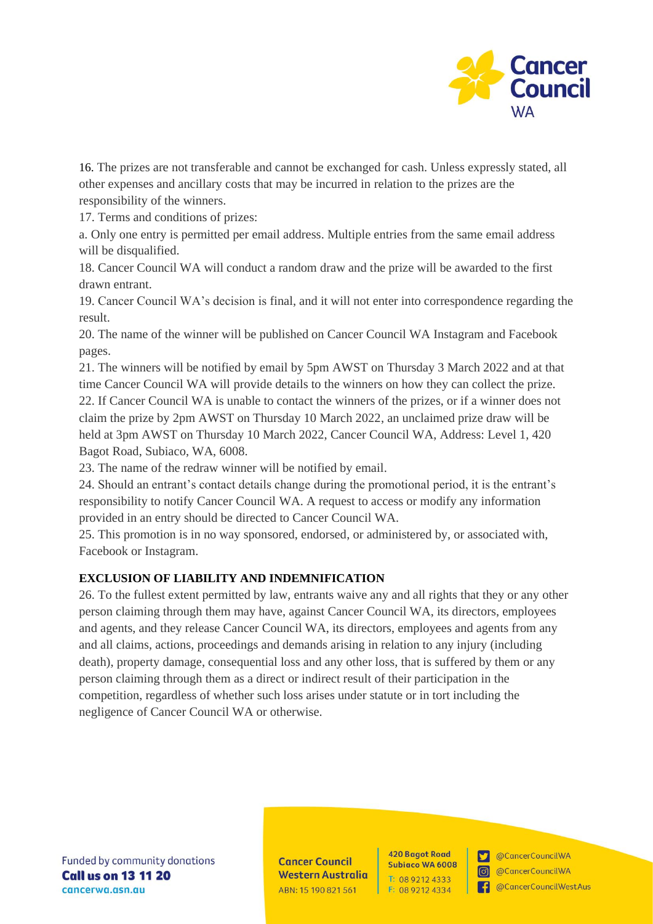

16. The prizes are not transferable and cannot be exchanged for cash. Unless expressly stated, all other expenses and ancillary costs that may be incurred in relation to the prizes are the responsibility of the winners.

17. Terms and conditions of prizes:

a. Only one entry is permitted per email address. Multiple entries from the same email address will be disqualified.

18. Cancer Council WA will conduct a random draw and the prize will be awarded to the first drawn entrant.

19. Cancer Council WA's decision is final, and it will not enter into correspondence regarding the result.

20. The name of the winner will be published on Cancer Council WA Instagram and Facebook pages.

21. The winners will be notified by email by 5pm AWST on Thursday 3 March 2022 and at that time Cancer Council WA will provide details to the winners on how they can collect the prize. 22. If Cancer Council WA is unable to contact the winners of the prizes, or if a winner does not claim the prize by 2pm AWST on Thursday 10 March 2022, an unclaimed prize draw will be held at 3pm AWST on Thursday 10 March 2022, Cancer Council WA, Address: Level 1, 420 Bagot Road, Subiaco, WA, 6008.

23. The name of the redraw winner will be notified by email.

24. Should an entrant's contact details change during the promotional period, it is the entrant's responsibility to notify Cancer Council WA. A request to access or modify any information provided in an entry should be directed to Cancer Council WA.

25. This promotion is in no way sponsored, endorsed, or administered by, or associated with, Facebook or Instagram.

#### **EXCLUSION OF LIABILITY AND INDEMNIFICATION**

26. To the fullest extent permitted by law, entrants waive any and all rights that they or any other person claiming through them may have, against Cancer Council WA, its directors, employees and agents, and they release Cancer Council WA, its directors, employees and agents from any and all claims, actions, proceedings and demands arising in relation to any injury (including death), property damage, consequential loss and any other loss, that is suffered by them or any person claiming through them as a direct or indirect result of their participation in the competition, regardless of whether such loss arises under statute or in tort including the negligence of Cancer Council WA or otherwise.

Funded by community donations **Call us on 13 11 20** cancerwa.asn.au

**Cancer Council Western Australia** ABN: 15 190 821 561

**420 Bagot Road Subiaco WA 6008** T: 08 9212 4333 F: 08 9212 4334

@CancerCouncilWA  $\mathbf{r}$  $\boxed{0}$ 

@CancerCouncilWA

**1.** @CancerCouncilWestAus